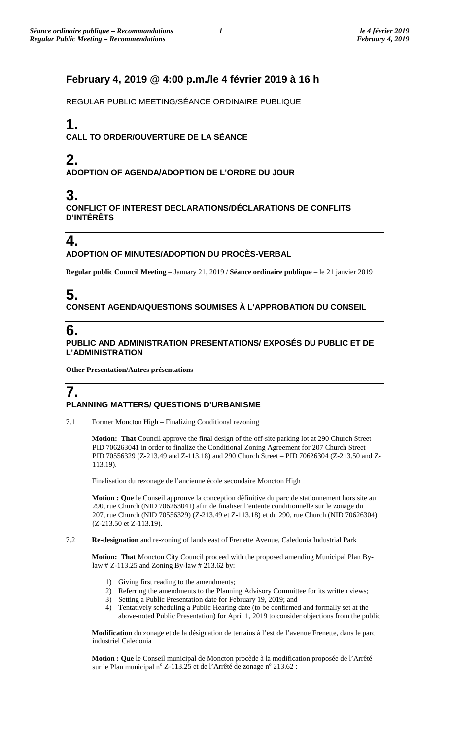## **February 4, 2019 @ 4:00 p.m./le 4 février 2019 à 16 h**

REGULAR PUBLIC MEETING/SÉANCE ORDINAIRE PUBLIQUE

# **1.**

**CALL TO ORDER/OUVERTURE DE LA SÉANCE**

## **2. ADOPTION OF AGENDA/ADOPTION DE L'ORDRE DU JOUR**

## **3.**

**CONFLICT OF INTEREST DECLARATIONS/DÉCLARATIONS DE CONFLITS D'INTÉRÊTS**

# **4.**

#### **ADOPTION OF MINUTES/ADOPTION DU PROCÈS-VERBAL**

**Regular public Council Meeting** – January 21, 2019 / **Séance ordinaire publique** – le 21 janvier 2019

# **5.**

**CONSENT AGENDA/QUESTIONS SOUMISES À L'APPROBATION DU CONSEIL**

# **6.**

#### **PUBLIC AND ADMINISTRATION PRESENTATIONS/ EXPOSÉS DU PUBLIC ET DE L'ADMINISTRATION**

**Other Presentation/Autres présentations**

### **7. PLANNING MATTERS/ QUESTIONS D'URBANISME**

7.1 Former Moncton High – Finalizing Conditional rezoning

**Motion: That** Council approve the final design of the off-site parking lot at 290 Church Street – PID 706263041 in order to finalize the Conditional Zoning Agreement for 207 Church Street – PID 70556329 (Z-213.49 and Z-113.18) and 290 Church Street – PID 70626304 (Z-213.50 and Z-113.19).

Finalisation du rezonage de l'ancienne école secondaire Moncton High

**Motion : Que** le Conseil approuve la conception définitive du parc de stationnement hors site au 290, rue Church (NID 706263041) afin de finaliser l'entente conditionnelle sur le zonage du 207, rue Church (NID 70556329) (Z-213.49 et Z-113.18) et du 290, rue Church (NID 70626304) (Z-213.50 et Z-113.19).

7.2 **Re-designation** and re-zoning of lands east of Frenette Avenue, Caledonia Industrial Park

**Motion: That** Moncton City Council proceed with the proposed amending Municipal Plan Bylaw # Z-113.25 and Zoning By-law # 213.62 by:

- 1) Giving first reading to the amendments;
- 2) Referring the amendments to the Planning Advisory Committee for its written views;
- 3) Setting a Public Presentation date for February 19, 2019; and
- 4) Tentatively scheduling a Public Hearing date (to be confirmed and formally set at the above-noted Public Presentation) for April 1, 2019 to consider objections from the public

**Modification** du zonage et de la désignation de terrains à l'est de l'avenue Frenette, dans le parc industriel Caledonia

**Motion : Que** le Conseil municipal de Moncton procède à la modification proposée de l'Arrêté sur le Plan municipal n° Z-113.25 et de l'Arrêté de zonage n° 213.62 :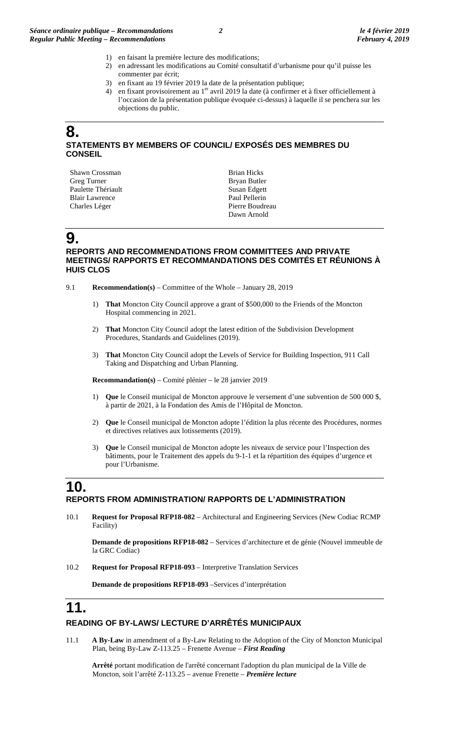- 1) en faisant la première lecture des modifications;
- 2) en adressant les modifications au Comité consultatif d'urbanisme pour qu'il puisse les commenter par écrit;
- 3) en fixant au 19 février 2019 la date de la présentation publique;
- 4) en fixant provisoirement au  $1<sup>er</sup>$  avril 2019 la date (à confirmer et à fixer officiellement à l'occasion de la présentation publique évoquée ci-dessus) à laquelle il se penchera sur les objections du public.

### **8. STATEMENTS BY MEMBERS OF COUNCIL/ EXPOSÉS DES MEMBRES DU CONSEIL**

Shawn Crossman Greg Turner Paulette Thériault Blair Lawrence Charles Léger

Brian Hicks Bryan Butler Susan Edgett Paul Pellerin Pierre Boudreau Dawn Arnold

# **9.**

#### **REPORTS AND RECOMMENDATIONS FROM COMMITTEES AND PRIVATE MEETINGS/ RAPPORTS ET RECOMMANDATIONS DES COMITÉS ET RÉUNIONS À HUIS CLOS**

- 9.1 **Recommendation(s)** Committee of the Whole January 28, 2019
	- 1) **That** Moncton City Council approve a grant of \$500,000 to the Friends of the Moncton Hospital commencing in 2021.
	- 2) **That** Moncton City Council adopt the latest edition of the Subdivision Development Procedures, Standards and Guidelines (2019).
	- 3) **That** Moncton City Council adopt the Levels of Service for Building Inspection, 911 Call Taking and Dispatching and Urban Planning.

**Recommandation(s)** – Comité plénier – le 28 janvier 2019

- 1) **Que** le Conseil municipal de Moncton approuve le versement d'une subvention de 500 000 \$, à partir de 2021, à la Fondation des Amis de l'Hôpital de Moncton.
- 2) **Que** le Conseil municipal de Moncton adopte l'édition la plus récente des Procédures, normes et directives relatives aux lotissements (2019).
- 3) **Que** le Conseil municipal de Moncton adopte les niveaux de service pour l'Inspection des bâtiments, pour le Traitement des appels du 9-1-1 et la répartition des équipes d'urgence et pour l'Urbanisme.

### **10. REPORTS FROM ADMINISTRATION/ RAPPORTS DE L'ADMINISTRATION**

10.1 **Request for Proposal RFP18-082** – Architectural and Engineering Services (New Codiac RCMP Facility)

**Demande de propositions RFP18-082** – Services d'architecture et de génie (Nouvel immeuble de la GRC Codiac)

10.2 **Request for Proposal RFP18-093** – Interpretive Translation Services

**Demande de propositions RFP18-093** –Services d'interprétation

# **11.**

### **READING OF BY-LAWS/ LECTURE D'ARRÊTÉS MUNICIPAUX**

11.1 **A By-Law** in amendment of a By-Law Relating to the Adoption of the City of Moncton Municipal Plan, being By-Law Z-113.25 – Frenette Avenue – *First Reading*

**Arrêté** portant modification de l'arrêté concernant l'adoption du plan municipal de la Ville de Moncton, soit l'arrêté Z-113.25 – avenue Frenette – *Première lecture*